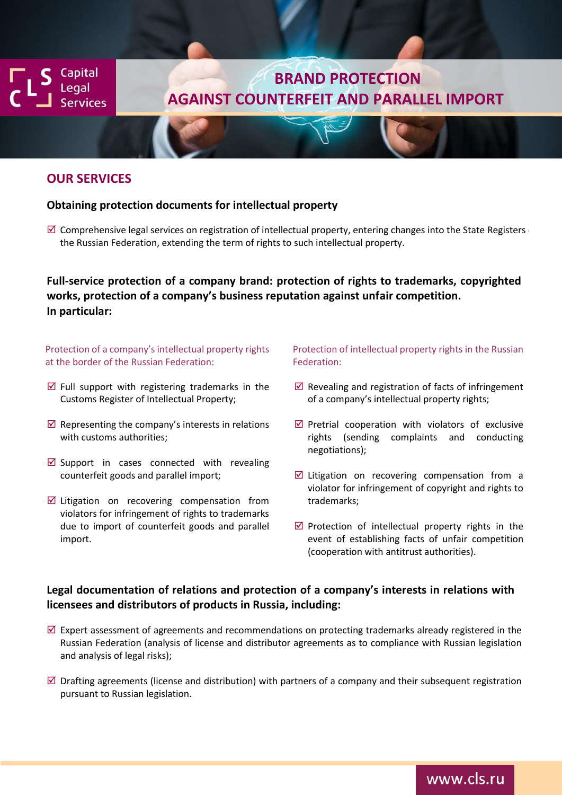Capital egal. **rvices** 

# **BRAND PROTECTION AGAINST COUNTERFEIT AND PARALLEL IMPORT**

### **OUR SERVICES**

### **Obtaining protection documents for intellectual property**

 $\boxtimes$  Comprehensive legal services on registration of intellectual property, entering changes into the State Registers the Russian Federation, extending the term of rights to such intellectual property.

**Full-service protection of a company brand: protection of rights to trademarks, copyrighted works, protection of a company's business reputation against unfair competition. In particular:**

#### Protection of a company's intellectual property rights at the border of the Russian Federation:

- $\boxtimes$  Full support with registering trademarks in the Customs Register of Intellectual Property;
- $\boxtimes$  Representing the company's interests in relations with customs authorities;
- $\boxtimes$  Support in cases connected with revealing counterfeit goods and parallel import;
- $\boxtimes$  Litigation on recovering compensation from violators for infringement of rights to trademarks due to import of counterfeit goods and parallel import.

### Protection of intellectual property rights in the Russian Federation:

- $\boxtimes$  Revealing and registration of facts of infringement of a company's intellectual property rights;
- $\boxtimes$  Pretrial cooperation with violators of exclusive rights (sending complaints and conducting negotiations);
- $\boxtimes$  Litigation on recovering compensation from a violator for infringement of copyright and rights to trademarks;
- $\boxtimes$  Protection of intellectual property rights in the event of establishing facts of unfair competition (cooperation with antitrust authorities).

### **Legal documentation of relations and protection of a company's interests in relations with licensees and distributors of products in Russia, including:**

- $\boxtimes$  Expert assessment of agreements and recommendations on protecting trademarks already registered in the Russian Federation (analysis of license and distributor agreements as to compliance with Russian legislation and analysis of legal risks);
- $\boxtimes$  Drafting agreements (license and distribution) with partners of a company and their subsequent registration pursuant to Russian legislation.